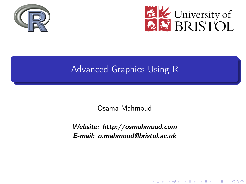<span id="page-0-0"></span>



K ロ X K 御 X K 평 X K 평 X ( 평 X )

 $2Q$ 

### Advanced Graphics Using R

Osama Mahmoud

Website: http://osmahmoud.com E-mail: o.mahmoud@bristol.ac.uk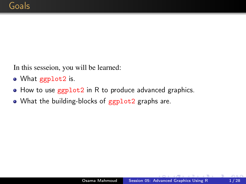<span id="page-1-0"></span>In this sesseion, you will be learned:

- What ggplot2 is.
- How to use ggplot2 in R to produce advanced graphics.
- What the building-blocks of ggplot2 graphs are.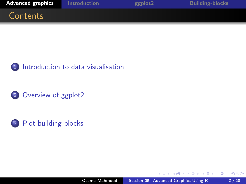<span id="page-2-0"></span>



2 [Overview of ggplot2](#page-7-0)



 $\mathbf{A} \equiv \mathbf{A} \times \mathbf{A} \equiv \mathbf{A}$ 

 $\mathbf{h}$ 

Þ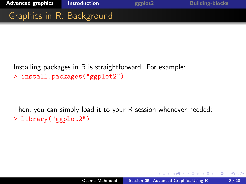<span id="page-3-0"></span>

Installing packages in R is straightforward. For example: > install.packages("ggplot2")

Then, you can simply load it to your R session whenever needed: > library("ggplot2")

 $QQ$ 

化重新润滑脂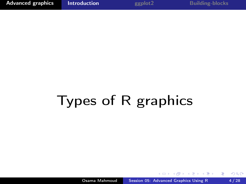## Types of R graphics

Osama Mahmoud [Session 05: Advanced Graphics Using R](#page-0-0) 4/28

 $\overline{a}$ 

 $\sqrt{2}$ 

- 4 国家 4 国家

Þ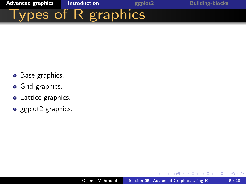

- Base graphics.
- **•** Grid graphics.
- Lattice graphics.
- $\bullet$  ggplot2 graphics.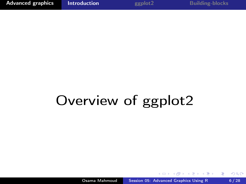# Overview of ggplot2

 $4.171$ 

**In** 

a a

化重新润滑脂

Þ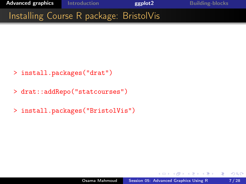<span id="page-7-0"></span>

- > install.packages("drat")
- > drat::addRepo("statcourses")
- > install.packages("BristolVis")

÷  $\sim$  つくへ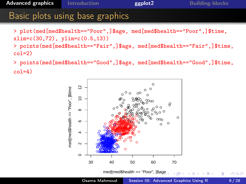#### **Advanced graphics** ggplot2 **Introduction Building-blocks** Basic plots using base graphics > plot(med[med\$health == "Poor",]\$age, med[med\$health == "Poor",]\$time,  $xlim=c(30,72), ylim=c(0.5,13))$ > points (med [med\$health=="Fair",]\$age, med [med\$health=="Fair",]\$time,

> points (med [med\$health=="Good",]\$age, med [med\$health=="Good",]\$time,  $col=4$ )

 $col=2$ 

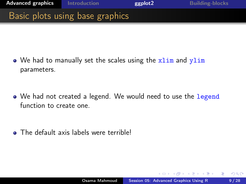

 $\bullet$  We had to manually set the scales using the  $xlim$  and  $ylim$ parameters.

• We had not created a legend. We would need to use the legend function to create one.

**•** The default axis labels were terrible!

つくい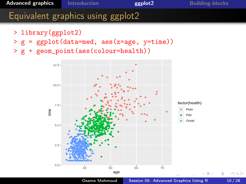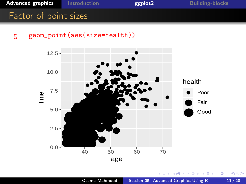





Þ

÷

э

 $\sim$ 

つくへ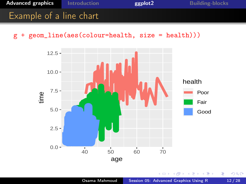

g + geom\_line(aes(colour=health, size = health)))



э

÷

つくへ

∍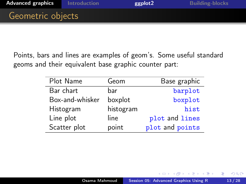Points, bars and lines are examples of geom's. Some useful standard geoms and their equivalent base graphic counter part:

| Plot Name       | Geom      | Base graphic    |
|-----------------|-----------|-----------------|
| Bar chart       | bar       | barplot         |
| Box-and-whisker | boxplot   | boxplot         |
| Histogram       | histogram | hist            |
| Line plot       | line      | plot and lines  |
| Scatter plot    | point     | plot and points |

 $QQ$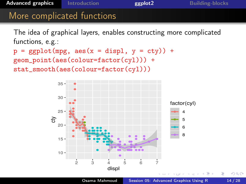### [Advanced graphics](#page-2-0) [Introduction](#page-3-0) and [ggplot2](#page-7-0) [Building-blocks](#page-17-0) More complicated functions The idea of graphical layers, enables constructing more complicated

functions, e.g.:

 $p = ggplot(mpg, aes(x = disp1, y = cty)) +$ geom\_point(aes(colour=factor(cyl))) + stat\_smooth(aes(colour=factor(cyl)))

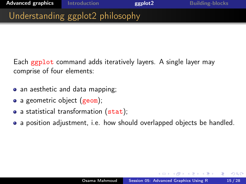Each ggplot command adds iteratively layers. A single layer may comprise of four elements:

- an aesthetic and data mapping;
- a geometric object (geom);
- a statistical transformation (stat);
- a position adjustment, i.e. how should overlapped objects be handled.

つくい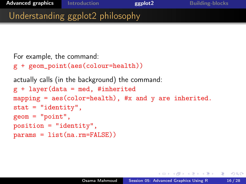```
For example, the command:
g + geom_point(aes(colour=health))
actually calls (in the background) the command:
g + \text{layer(data} = \text{med, } \text{\#inheritical}mapping = \text{aes}(\text{color=health}), #x and y are inherited.
stat = "identity",geom = "point",position = "identity",
params = list(na.rm=FALSE))
```
母 ▶ イヨ ▶ イヨ ▶ │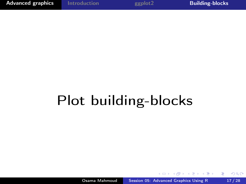つくへ

э

## <span id="page-17-0"></span>Plot building-blocks

**In** 

石

化重新润滑脂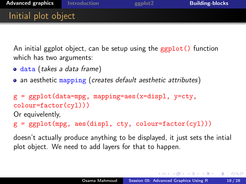An initial ggplot object, can be setup using the ggplot() function which has two arguments:

- o data (takes a data frame)
- an aesthetic mapping (creates default aesthetic attributes)

```
g = ggplot(data=mpg, mapping=aes(x=disp1, y=cty,colour=factor(cyl)))
Or equivelently,
```
 $g = ggplot(mpg, aes(disp1, cty, colour-factor(cyl)))$ 

doesn't actually produce anything to be displayed, it just sets the intial plot object. We need to add layers for that to happen.

→ イラン イヨン イラン

 $\Omega$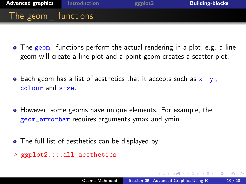

- $\bullet$  The geom, functions perform the actual rendering in a plot, e.g. a line geom will create a line plot and a point geom creates a scatter plot.
- Each geom has a list of aesthetics that it accepts such as  $x$  ,  $y$  , colour and size.
- However, some geoms have unique elements. For example, the geom\_errorbar requires arguments ymax and ymin.
- The full list of aesthetics can be displayed by:
- > ggplot2:::.all\_aesthetics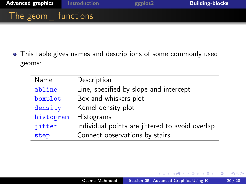

This table gives names and descriptions of some commonly used geoms:

۳  $\overline{\phantom{0}}$ 

-

| Name      | Description                                     |
|-----------|-------------------------------------------------|
| abline    | Line, specified by slope and intercept          |
| boxplot   | Box and whiskers plot                           |
| density   | Kernel density plot                             |
| histogram | Histograms                                      |
| jitter    | Individual points are jittered to avoid overlap |
| step      | Connect observations by stairs                  |

**In** モミチ ∢ 重→

つくへ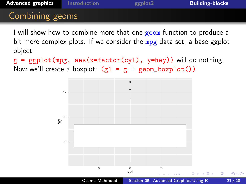### [Advanced graphics](#page-2-0) [Introduction](#page-3-0) [ggplot2](#page-7-0) [Building-blocks](#page-17-0) Combining geoms

I will show how to combine more that one geom function to produce a bit more complex plots. If we consider the mpg data set, a base ggplot object:

 $g = ggplot(mpg, aes(x=factor(cyl), y=hwy))$  will do nothing. Now we'll create a boxplot:  $(g1 = g + geom\_boxplot())$ 

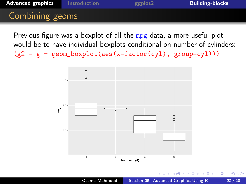### [Advanced graphics](#page-2-0) [Introduction](#page-3-0) [ggplot2](#page-7-0) [Building-blocks](#page-17-0) Combining geoms

Previous figure was a boxplot of all the mpg data, a more useful plot would be to have individual boxplots conditional on number of cylinders:  $(g2 = g + geom_boxplot(aes(x=factor(cyl), group=cv1)))$ 

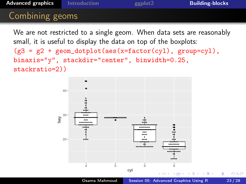### [Advanced graphics](#page-2-0) [Introduction](#page-3-0) [ggplot2](#page-7-0) [Building-blocks](#page-17-0) Combining geoms

We are not restricted to a single geom. When data sets are reasonably small, it is useful to display the data on top of the boxplots:

 $(g3 = g2 + geom\_dotplot(aes(x=factor(cyl), group=cyl)),$ binaxis="y", stackdir="center", binwidth=0.25, stackratio=2))



 $2Q$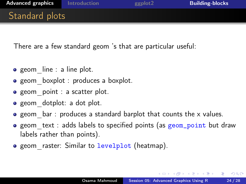There are a few standard geom 's that are particular useful:

- $\bullet$  geom line : a line plot.
- geom boxplot : produces a boxplot.
- **e** geom point : a scatter plot.
- geom dotplot: a dot plot.
- $\bullet$  geom bar : produces a standard barplot that counts the x values.
- geom text : adds labels to specified points (as geom\_point but draw labels rather than points).
- **•** geom raster: Similar to levelplot (heatmap).

桐 レンコ レンコレー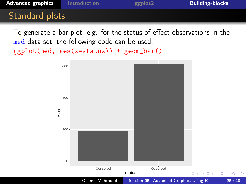

To generate a bar plot, e.g. for the status of effect observations in the med data set, the following code can be used:

ggplot(med, aes(x=status)) + geom\_bar()



つくへ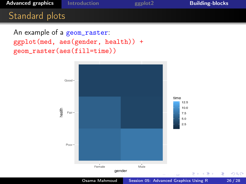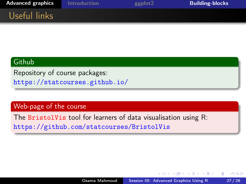

#### **Github**

Repository of course packages: <https://statcourses.github.io/>

#### Web-page of the course

The BristolVis tool for learners of data visualisation using R: <https://github.com/statcourses/BristolVis>

伺 ▶ イヨ ▶ イヨ ▶

つくへ